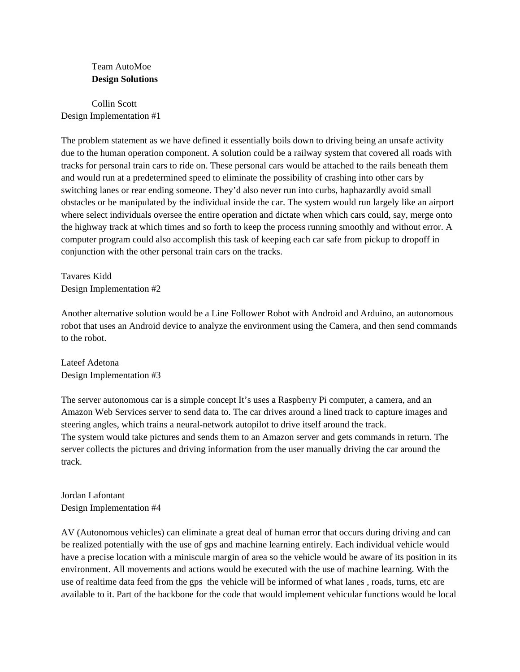## Team AutoMoe **Design Solutions**

Collin Scott Design Implementation #1

The problem statement as we have defined it essentially boils down to driving being an unsafe activity due to the human operation component. A solution could be a railway system that covered all roads with tracks for personal train cars to ride on. These personal cars would be attached to the rails beneath them and would run at a predetermined speed to eliminate the possibility of crashing into other cars by switching lanes or rear ending someone. They'd also never run into curbs, haphazardly avoid small obstacles or be manipulated by the individual inside the car. The system would run largely like an airport where select individuals oversee the entire operation and dictate when which cars could, say, merge onto the highway track at which times and so forth to keep the process running smoothly and without error. A computer program could also accomplish this task of keeping each car safe from pickup to dropoff in conjunction with the other personal train cars on the tracks.

Tavares Kidd Design Implementation #2

Another alternative solution would be a Line Follower Robot with Android and Arduino, an autonomous robot that uses an Android device to analyze the environment using the Camera, and then send commands to the robot.

Lateef Adetona Design Implementation #3

The server autonomous car is a simple concept It's uses a Raspberry Pi computer, a camera, and an Amazon Web Services server to send data to. The car drives around a lined track to capture images and steering angles, which trains a neural-network autopilot to drive itself around the track. The system would take pictures and sends them to an Amazon server and gets commands in return. The server collects the pictures and driving information from the user manually driving the car around the track.

Jordan Lafontant Design Implementation #4

AV (Autonomous vehicles) can eliminate a great deal of human error that occurs during driving and can be realized potentially with the use of gps and machine learning entirely. Each individual vehicle would have a precise location with a miniscule margin of area so the vehicle would be aware of its position in its environment. All movements and actions would be executed with the use of machine learning. With the use of realtime data feed from the gps the vehicle will be informed of what lanes , roads, turns, etc are available to it. Part of the backbone for the code that would implement vehicular functions would be local